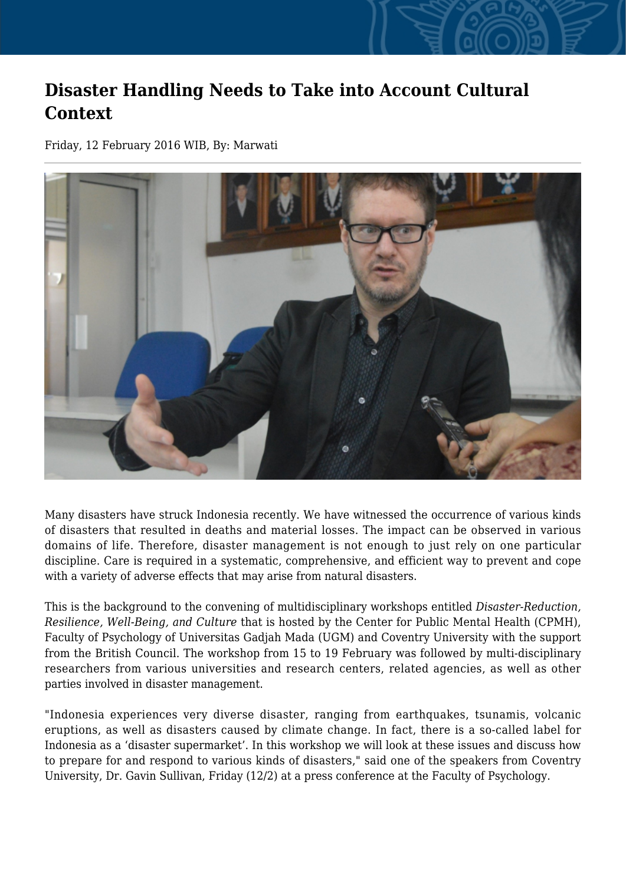## **Disaster Handling Needs to Take into Account Cultural Context**

Friday, 12 February 2016 WIB, By: Marwati



Many disasters have struck Indonesia recently. We have witnessed the occurrence of various kinds of disasters that resulted in deaths and material losses. The impact can be observed in various domains of life. Therefore, disaster management is not enough to just rely on one particular discipline. Care is required in a systematic, comprehensive, and efficient way to prevent and cope with a variety of adverse effects that may arise from natural disasters.

This is the background to the convening of multidisciplinary workshops entitled *Disaster-Reduction, Resilience, Well-Being, and Culture* that is hosted by the Center for Public Mental Health (CPMH), Faculty of Psychology of Universitas Gadjah Mada (UGM) and Coventry University with the support from the British Council. The workshop from 15 to 19 February was followed by multi-disciplinary researchers from various universities and research centers, related agencies, as well as other parties involved in disaster management.

"Indonesia experiences very diverse disaster, ranging from earthquakes, tsunamis, volcanic eruptions, as well as disasters caused by climate change. In fact, there is a so-called label for Indonesia as a 'disaster supermarket'. In this workshop we will look at these issues and discuss how to prepare for and respond to various kinds of disasters," said one of the speakers from Coventry University, Dr. Gavin Sullivan, Friday (12/2) at a press conference at the Faculty of Psychology.